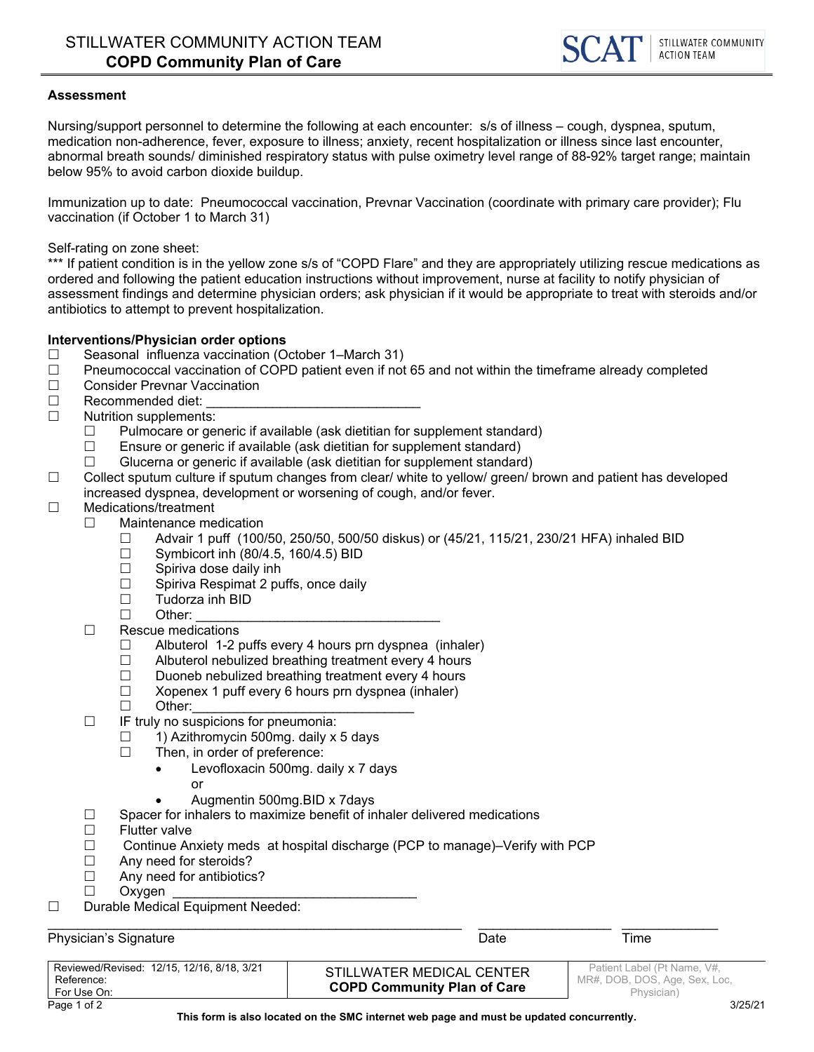#### **Assessment**

Nursing/support personnel to determine the following at each encounter: s/s of illness – cough, dyspnea, sputum, medication non-adherence, fever, exposure to illness; anxiety, recent hospitalization or illness since last encounter, abnormal breath sounds/ diminished respiratory status with pulse oximetry level range of 88-92% target range; maintain below 95% to avoid carbon dioxide buildup.

Immunization up to date: Pneumococcal vaccination, Prevnar Vaccination (coordinate with primary care provider); Flu vaccination (if October 1 to March 31)

Self-rating on zone sheet:

\*\*\* If patient condition is in the yellow zone s/s of "COPD Flare" and they are appropriately utilizing rescue medications as ordered and following the patient education instructions without improvement, nurse at facility to notify physician of assessment findings and determine physician orders; ask physician if it would be appropriate to treat with steroids and/or antibiotics to attempt to prevent hospitalization.

#### **Interventions/Physician order options**

- □ Seasonal influenza vaccination (October 1–March 31)
- $\Box$  Pneumococcal vaccination of COPD patient even if not 65 and not within the timeframe already completed
- □ Consider Prevnar Vaccination
- $\Box$  Recommended diet:
- □ Nutrition supplements:
	- $\Box$  Pulmocare or generic if available (ask dietitian for supplement standard)
	- □ Ensure or generic if available (ask dietitian for supplement standard)<br>□ Glucerna or generic if available (ask dietitian for supplement standard
		- Glucerna or generic if available (ask dietitian for supplement standard)
- □ Collect sputum culture if sputum changes from clear/ white to yellow/ green/ brown and patient has developed increased dyspnea, development or worsening of cough, and/or fever.

## □ Medications/treatment

- $\Box$  Maintenance medication
	- $\Box$  Advair 1 puff (100/50, 250/50, 500/50 diskus) or (45/21, 115/21, 230/21 HFA) inhaled BID
	- $\square$  Symbicort inh (80/4.5, 160/4.5) BID<br> $\square$  Spiriva dose daily inh
	- $\square$  Spiriva dose daily inh<br> $\square$  Spiriva Respimat 2 pu
	- Spiriva Respimat 2 puffs, once daily
	- $\Box$  Tudorza inh BID
	- Other: \_\_\_\_\_\_\_\_\_\_\_\_\_\_\_\_\_\_\_\_\_\_\_\_\_\_\_\_\_\_\_\_\_

## $\Box$  Rescue medications

- $\Box$  Albuterol 1-2 puffs every 4 hours prn dyspnea (inhaler)
- $\Box$  Albuterol nebulized breathing treatment every 4 hours
- $\Box$  Duoneb nebulized breathing treatment every 4 hours
- $\Box$  Xopenex 1 puff every 6 hours prn dyspnea (inhaler)
- $\square$  Other:
- $\Box$  IF truly no suspicions for pneumonia:
	- $\Box$  1) Azithromycin 500mg. daily x 5 days
	- $\Box$  Then, in order of preference:
		- Levofloxacin 500mg. daily x 7 days or
		- Augmentin 500mg.BID x 7days
- $\Box$  Spacer for inhalers to maximize benefit of inhaler delivered medications
- $\Box$  Flutter valve
- □ Continue Anxiety meds at hospital discharge (PCP to manage)–Verify with PCP
- $\Box$  Any need for steroids?<br> $\Box$  Any need for antibiotics
- Any need for antibiotics?
- $\Box$  Oxygen
- Durable Medical Equipment Needed:

 $\_$  ,  $\_$  ,  $\_$  ,  $\_$  ,  $\_$  ,  $\_$  ,  $\_$  ,  $\_$  ,  $\_$  ,  $\_$  ,  $\_$  ,  $\_$  ,  $\_$  ,  $\_$  ,  $\_$  ,  $\_$  ,  $\_$  ,  $\_$  ,  $\_$  ,  $\_$  ,  $\_$  ,  $\_$  ,  $\_$  ,  $\_$  ,  $\_$  ,  $\_$  ,  $\_$  ,  $\_$  ,  $\_$  ,  $\_$  ,  $\_$  ,  $\_$  ,  $\_$  ,  $\_$  ,  $\_$  ,  $\_$  ,  $\_$  , Physician's Signature **Date Time** Time

| Reviewed/Revised: 12/15, 12/16, 8/18, 3/21<br>Reference:<br>For Use On: | STILLWATER MEDICAL CENTER<br><b>COPD Community Plan of Care</b> | Patient Label (Pt Name, V#.<br>MR#, DOB, DOS, Age, Sex, Loc,<br>Physician) |
|-------------------------------------------------------------------------|-----------------------------------------------------------------|----------------------------------------------------------------------------|
| Page 1 of 2                                                             |                                                                 | 3/25/21                                                                    |